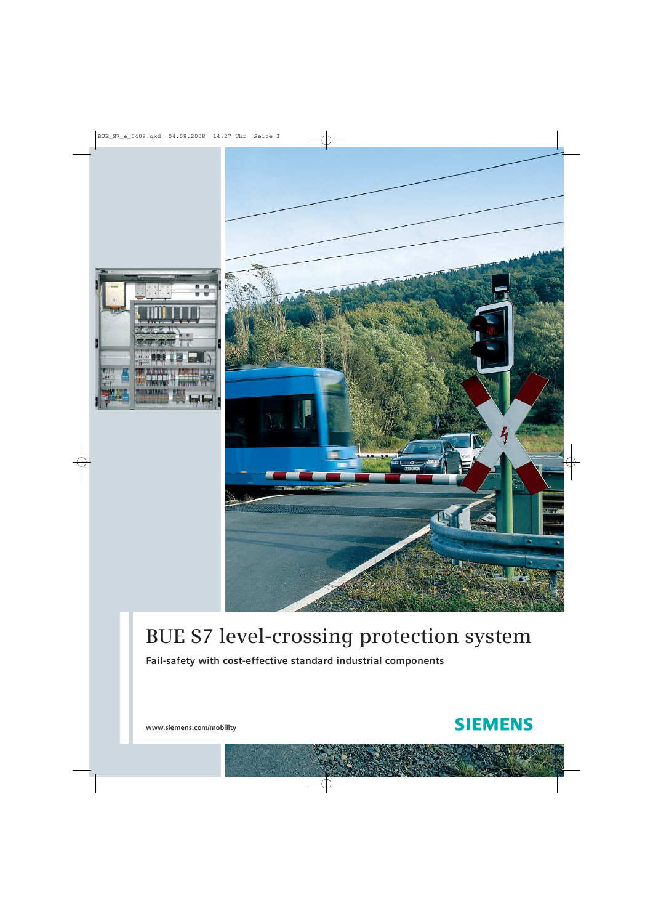



# **BUE S7 level-crossing protection system**

**Fail-safety with cost-effective standard industrial components**



**www.siemens.com/mobility**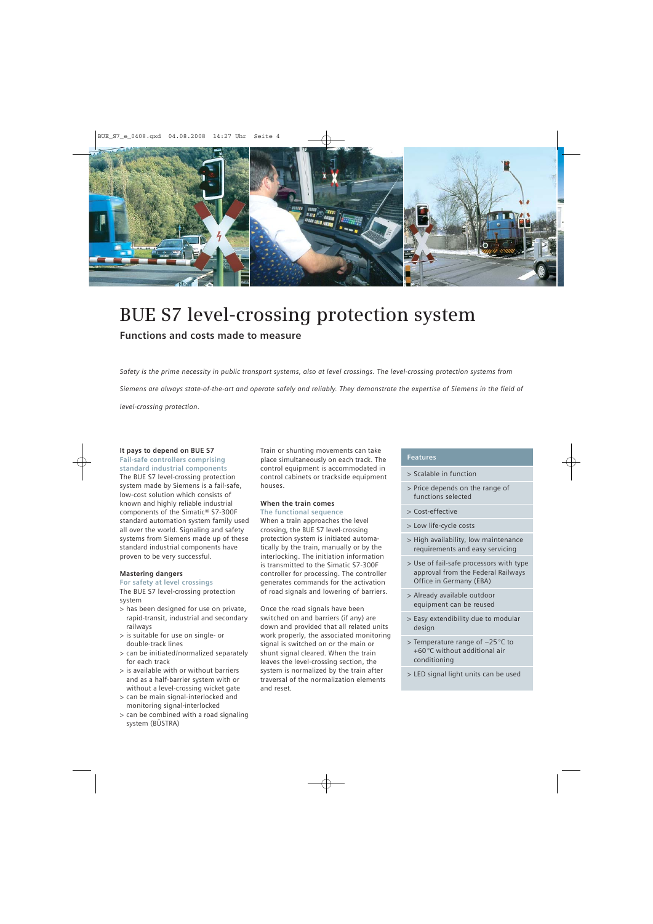

# **BUE S7 level-crossing protection system**

## **Functions and costs made to measure**

*Safety is the prime necessity in public transport systems, also at level crossings. The level-crossing protection systems from Siemens are always state-of-the-art and operate safely and reliably. They demonstrate the expertise of Siemens in the field of level-crossing protection.*

## **It pays to depend on BUE S7**

**Fail-safe controllers comprising standard industrial components**

The BUE S7 level-crossing protection system made by Siemens is a fail-safe, low-cost solution which consists of known and highly reliable industrial components of the Simatic® S7-300F standard automation system family used all over the world. Signaling and safety systems from Siemens made up of these standard industrial components have proven to be very successful.

## **Mastering dangers**

#### **For safety at level crossings**

The BUE S7 level-crossing protection system

- > has been designed for use on private, rapid-transit, industrial and secondary railways
- > is suitable for use on single- or double-track lines
- > can be initiated/normalized separately for each track
- > is available with or without barriers and as a half-barrier system with or without a level-crossing wicket gate
- > can be main signal-interlocked and monitoring signal-interlocked
- > can be combined with a road signaling system (BÜSTRA)

Train or shunting movements can take place simultaneously on each track. The control equipment is accommodated in control cabinets or trackside equipment houses.

## **When the train comes**

## **The functional sequence**

When a train approaches the level crossing, the BUE S7 level-crossing protection system is initiated automatically by the train, manually or by the interlocking. The initiation information is transmitted to the Simatic S7-300F controller for processing. The controller generates commands for the activation of road signals and lowering of barriers.

Once the road signals have been switched on and barriers (if any) are down and provided that all related units work properly, the associated monitoring signal is switched on or the main or shunt signal cleared. When the train leaves the level-crossing section, the system is normalized by the train after traversal of the normalization elements and reset.

#### **Features**

- > Scalable in function
- > Price depends on the range of functions selected
- > Cost-effective
- > Low life-cycle costs
- > High availability, low maintenance requirements and easy servicing
- > Use of fail-safe processors with type approval from the Federal Railways Office in Germany (EBA)
- > Already available outdoor equipment can be reused
- > Easy extendibility due to modular design
- > Temperature range of –25 °C to +60 °C without additional air conditioning
- > LED signal light units can be used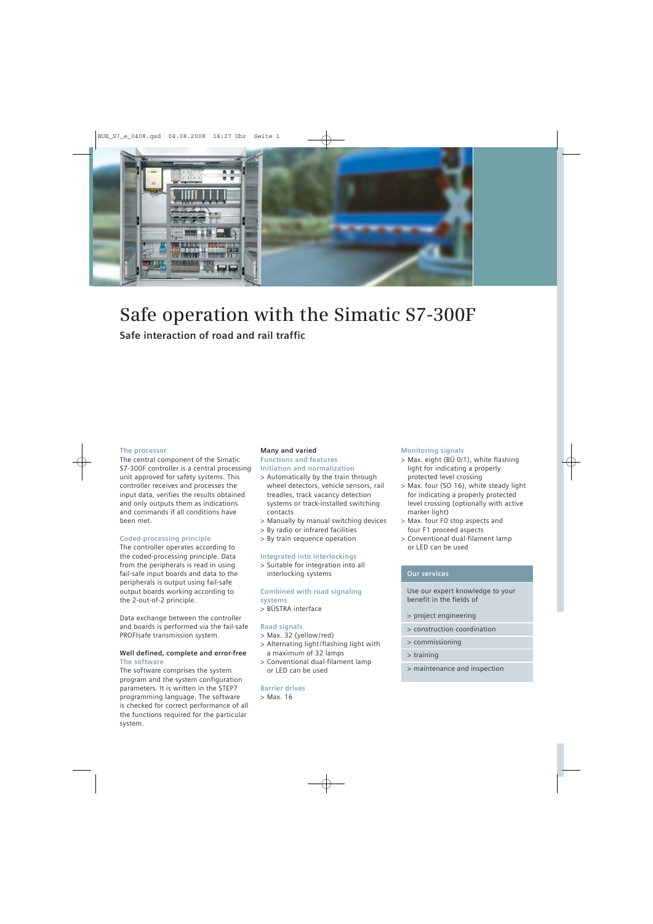

# **Safe operation with the Simatic S7-300F**

**Safe interaction of road and rail traffic**

### **The processor**

The central component of the Simatic S7-300F controller is a central processing unit approved for safety systems. This controller receives and processes the input data, verifies the results obtained and only outputs them as indications and commands if all conditions have been met.

#### **Coded-processing principle**

The controller operates according to the coded-processing principle. Data from the peripherals is read in using fail-safe input boards and data to the peripherals is output using fail-safe output boards working according to the 2-out-of-2 principle.

Data exchange between the controller and boards is performed via the fail-safe PROFIsafe transmission system.

#### **Well defined, complete and error-free The software**

The software comprises the system program and the system configuration parameters. It is written in the STEP7 programming language. The software is checked for correct performance of all the functions required for the particular system.

### **Many and varied**

#### **Functions and features Initiation and normalization**

- > Automatically by the train through wheel detectors, vehicle sensors, rail treadles, track vacancy detection systems or track-installed switching contacts
- > Manually by manual switching devices
- > By radio or infrared facilities
- > By train sequence operation

#### **Integrated into interlockings**

> Suitable for integration into all interlocking systems

### **Combined with road signaling systems**

> BÜSTRA interface

### **Road signals**

- > Max. 32 (yellow /red)
- > Alternating light /flashing light with a maximum of 32 lamps
- > Conventional dual-filament lamp or LED can be used

### **Barrier drives**

> Max. 16

#### **Monitoring signals**

- > Max. eight (BÜ 0/1), white flashing light for indicating a properly protected level crossing
- > Max. four (SO 16), white steady light for indicating a properly protected level crossing (optionally with active marker light)
- > Max. four F0 stop aspects and four F1 proceed aspects
- > Conventional dual-filament lamp or LED can be used

## **Our services**

Use our expert knowledge to your benefit in the fields of

- > project engineering
- > construction coordination
- > commissioning
- > training
- > maintenance and inspection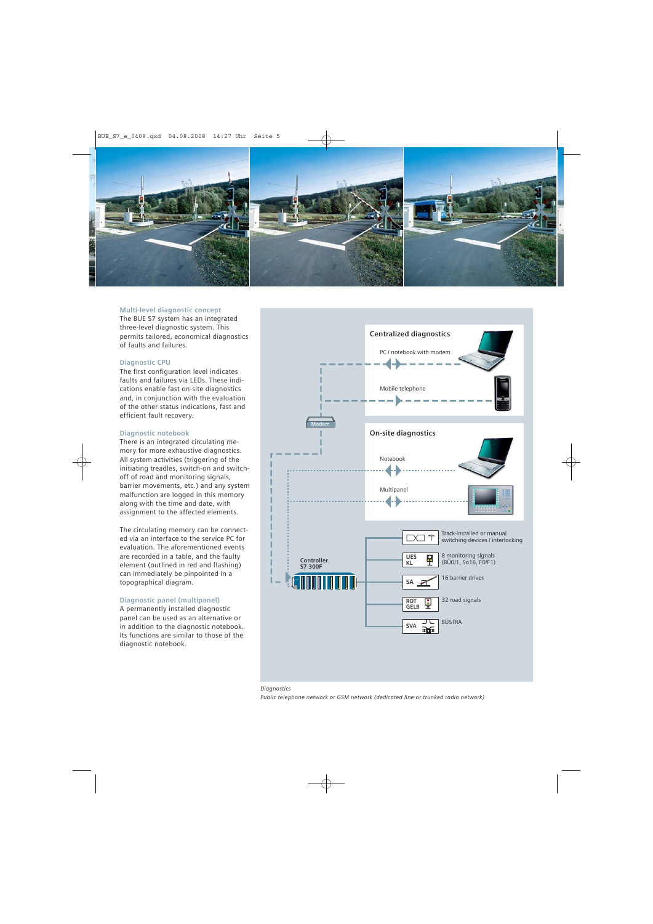

#### **Multi-level diagnostic concept**

The BUE S7 system has an integrated three-level diagnostic system. This permits tailored, economical diagnostics of faults and failures.

#### **Diagnostic CPU**

The first configuration level indicates faults and failures via LEDs. These indications enable fast on-site diagnostics and, in conjunction with the evaluation of the other status indications, fast and efficient fault recovery.

#### **Diagnostic notebook**

There is an integrated circulating memory for more exhaustive diagnostics. All system activities (triggering of the initiating treadles, switch-on and switchoff of road and monitoring signals, barrier movements, etc.) and any system malfunction are logged in this memory along with the time and date, with assignment to the affected elements.

The circulating memory can be connected via an interface to the service PC for evaluation. The aforementioned events are recorded in a table, and the faulty element (outlined in red and flashing) can immediately be pinpointed in a topographical diagram.

#### **Diagnostic panel (multipanel)**

A permanently installed diagnostic panel can be used as an alternative or in addition to the diagnostic notebook. Its functions are similar to those of the diagnostic notebook.





*Public telephone network or GSM network (dedicated line or trunked radio network)*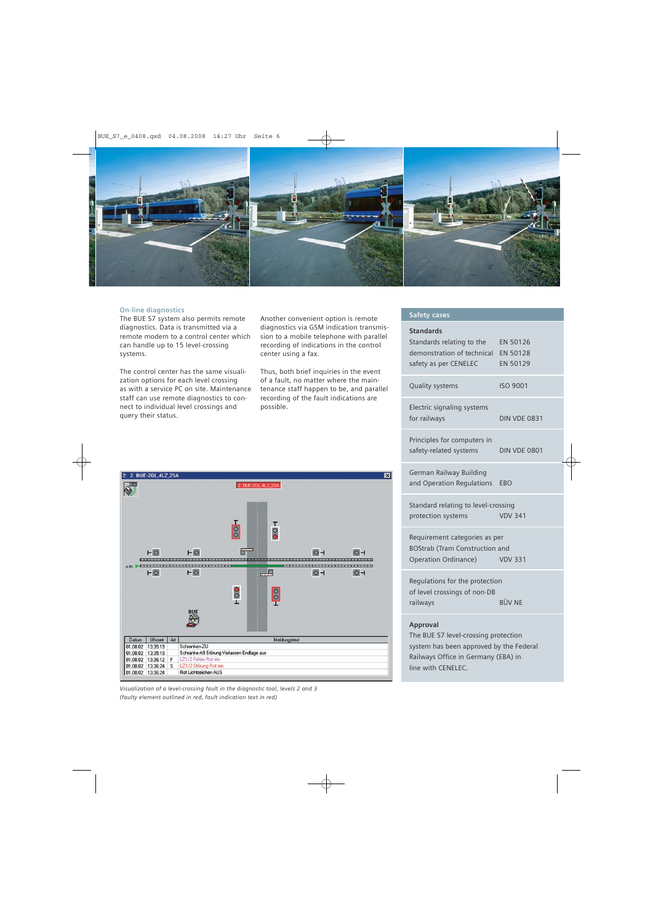

#### **On-line diagnostics**

The BUE S7 system also permits remote diagnostics. Data is transmitted via a remote modem to a control center which can handle up to 15 level-crossing systems.

The control center has the same visualization options for each level crossing as with a service PC on site. Maintenance staff can use remote diagnostics to connect to individual level crossings and query their status.

Another convenient option is remote diagnostics via GSM indication transmission to a mobile telephone with parallel recording of indications in the control center using a fax.

Thus, both brief inquiries in the event of a fault, no matter where the maintenance staff happen to be, and parallel recording of the fault indications are possible.

#### 2: 2. BUE-2GL, 4LZ, 2SA 図 2. BUE-2GL, 4LZ, 2SA O)  $\frac{1}{8}$  $\frac{1}{2}$ m  $H^{\circ}$  $H<sup>O</sup>$  $O - 1$  $O - 1$  $\blacksquare$ \_\_\_\_\_\_\_\_ \_\_\_\_\_\_\_\_\_\_\_\_\_\_\_\_\_\_\_\_\_\_\_\_\_\_\_\_\_ Lm,  $H$ O  $H$ O  $O - 1$  $O - 1$  $\overline{\circ}$  $\frac{8}{1}$ T Datum | Uhrzeit | Art Meldungstext 01.08.02 13:35:19 Schranken ZU Schranke A9 Störung Verlassen Endlage aus 01.08.02 13:35:19 01.08.02 13:36:12 F Z1/2 Fehler Rot ein 01.08.02 13:36:24 S LZ1/2 Störung Rot ein 01.08.02 13:36:24 Rot Lichtzeichen AUS

*Visualization of a level-crossing fault in the diagnostic tool, levels 2 and 3 (faulty element outlined in red, fault indication text in red)*

#### **Safety cases**

### **Standards**

| Standards relating to the<br>demonstration of technical<br>safety as per CENELEC | EN 50126<br>EN 50128<br>EN 50129 |
|----------------------------------------------------------------------------------|----------------------------------|
| Quality systems                                                                  | <b>ISO 9001</b>                  |
| Electric signaling systems<br>for railways                                       | <b>DIN VDE 0831</b>              |
| Principles for computers in<br>safety-related systems                            | <b>DIN VDE 0801</b>              |
| German Railway Building<br>and Operation Regulations                             | EBO                              |
| Standard relating to level-crossing<br><b>VDV 341</b><br>protection systems      |                                  |
|                                                                                  |                                  |
| Requirement categories as per                                                    |                                  |
| <b>BOStrab (Tram Construction and</b>                                            |                                  |
| Operation Ordinance) VDV 331                                                     |                                  |
| Regulations for the protection<br>of level crossings of non-DB                   |                                  |
| railways                                                                         | <b>RÜV NF</b>                    |
| Approval                                                                         |                                  |

The BUE S7 level-crossing protection system has been approved by the Federal Railways Office in Germany (EBA) in line with CENELEC.